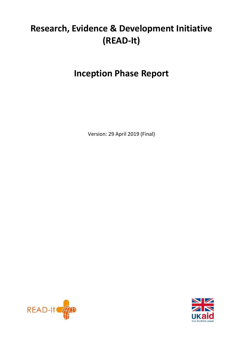# **Research, Evidence & Development Initiative (READ-It)**

# **Inception Phase Report**

Version: 29 April 2019 (Final)



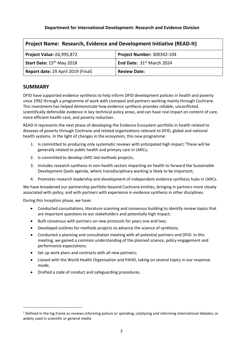#### **Department for International Development: Research and Evidence Division**

| <b>Project Name: Research, Evidence and Development Initiative (READ-It)</b> |                             |  |
|------------------------------------------------------------------------------|-----------------------------|--|
| Project Value: £6,995,872<br><b>Project Number: 300342-104</b>               |                             |  |
| Start Date: 15 <sup>th</sup> May 2018                                        | End Date: $31st$ March 2024 |  |
| Report date: 29 April 2019 (Final)<br><b>Review Date:</b>                    |                             |  |

#### **SUMMARY**

DFID have supported evidence synthesis to help inform DFID development policies in health and poverty since 1992 through a programme of work with Liverpool and partners working mainly through Cochrane. This investment has helped demonstrate how evidence synthesis provides reliable, unconflicted, scientifically defensible evidence in key technical policy areas, and can have real impact on content of care, more efficient health care, and poverty reduction.

READ-It represents the next phase of developing the Evidence Ecosystem portfolio in health related to diseases of poverty through Cochrane and related organizations relevant to DFID, global and national health systems. In the light of changes in the ecosystem, this new programme:

- 1. Is committed to producing only systematic reviews with anticipated high impact. <sup>1</sup>These will be generally related to public health and primary care in LMICs;
- 2. Is committed to develop LMIC-led methods projects;
- 3. Includes research synthesis in non-health sectors impacting on health to forward the Sustainable Development Goals agenda, where transdisciplinary working is likely to be important;
- 4. Promotes research leadership and development of independent evidence synthesis hubs in LMICs.

We have broadened our partnership portfolio beyond Cochrane entities, bringing in partners more closely associated with policy, and with partners with experience in evidence synthesis in other disciplines.

During this Inception phase, we have:

 $\overline{a}$ 

- Conducted consultations, literature scanning and consensus building to identify review topics that are important questions to our stakeholders and potentially high impact;
- Built consensus with partners on new protocols for years one and two;
- Developed outlines for methods projects to advance the science of synthesis;
- Conducted a planning and consultation meeting with all potential partners and DFID. In this meeting, we gained a common understanding of the planned science, policy engagement and performance expectations.
- Set up work plans and contracts with all new partners;
- Liaised with the World Health Organization and PAHO, taking on several topics in our response mode;
- Drafted a code of conduct and safeguarding procedures.

 $1$  Defined in the log frame as reviews informing polices or spending; catalysing and informing international debates; or widely used in scientific or general media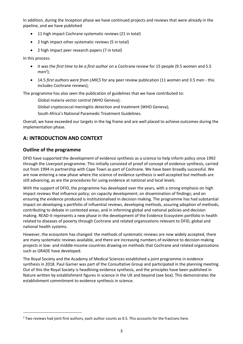In addition, during the Inception phase we have continued projects and reviews that were already in the pipeline, and we have published

- 11 high impact Cochrane systematic reviews (21 in total)
- 2 high impact other systematic reviews (5 in total)
- 2 high impact peer research papers (7 in total)

In this process:

- it was the *first time to be a first author* on a Cochrane review for 15 people (9.5 women and 5.5  $men<sup>2</sup>)$ ;
- 14.5 *first authors were from LMICS* for any peer review publication (11 women and 3.5 men this includes Cochrane reviews);

The programme has also seen the publication of guidelines that we have contributed to:

Global malaria vector control (WHO Geneva);

Global cryptococcal meningitis detection and treatment (WHO Geneva);

South Africa's National Paramedic Treatment Guidelines.

Overall, we have exceeded our targets in the log frame and are well placed to achieve outcomes during the implementation phase.

# **A: INTRODUCTION AND CONTEXT**

#### **Outline of the programme**

**.** 

DFID have supported the development of evidence synthesis as a science to help inform policy since 1992 through the Liverpool programme. This initially consisted of proof of concept of evidence synthesis, carried out from 1994 in partnership with Cape Town as part of Cochrane. We have been broadly successful. We are now entering a new phase where the science of evidence synthesis is well accepted but methods are still advancing, as are the procedures for using evidence at national and local levels.

With the support of DFID, the programme has developed over the years, with a strong emphasis on high impact reviews that influence policy; on capacity development; on dissemination of findings; and on ensuring the evidence produced is institutionalised in decision making. The programme has had substantial impact on developing a portfolio of influential reviews, developing methods, assuring adoption of methods, contributing to debate in contested areas, and in informing global and national policies and decision making. READ-It represents a new phase in the development of the Evidence Ecosystem portfolio in health related to diseases of poverty through Cochrane and related organizations relevant to DFID, global and national health systems.

However, the ecosystem has changed: the methods of systematic reviews are now widely accepted, there are many systematic reviews available, and there are increasing numbers of evidence to decision making projects in low- and middle-income countries drawing on methods that Cochrane and related organizations such as GRADE have developed.

The Royal Society and the Academy of Medical Sciences established a joint programme in evidence synthesis in 2018. Paul Garner was part of the Consultative Group and participated in the planning meeting. Out of this the Royal Society is headlining evidence synthesis, and the principles have been published in Nature written by establishment figures in science in the UK and beyond (see box). This demonstrates the establishment commitment to evidence synthesis in science.

<sup>&</sup>lt;sup>2</sup> Two reviews had joint first authors, each author counts as 0.5. This accounts for the fractions here.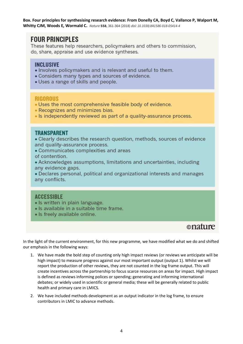**Box. Four principles for synthesising research evidence: From Donelly CA, Boyd C, Vallance P, Walport M, Whitty CJM, Woods E, Wormald C.** *Nature* **558**, 361-364 (2018) *doi: 10.1038/d41586-018-05414-4*

# **FOUR PRINCIPLES**

These features help researchers, policymakers and others to commission, do, share, appraise and use evidence syntheses.

## **INCLUSIVE**

- Involves policymakers and is relevant and useful to them.
- Considers many types and sources of evidence.
- Uses a range of skills and people.

## **RIGOROUS**

- Uses the most comprehensive feasible body of evidence.
- Recognizes and minimizes bias.
- Is independently reviewed as part of a quality-assurance process.

## **TRANSPARENT**

• Clearly describes the research question, methods, sources of evidence and quality-assurance process.

• Communicates complexities and areas

of contention.

• Acknowledges assumptions, limitations and uncertainties, including any evidence gaps.

• Declares personal, political and organizational interests and manages any conflicts.

## **ACCESSIBLE**

- Is written in plain language.
- · Is available in a suitable time frame.
- · Is freely available online.

# onature

In the light of the current environment, for this new programme, we have modified what we do and shifted our emphasis in the following ways:

- 1. We have made the bold step of counting only high impact reviews (or reviews we anticipate will be high impact) to measure progress against our most important output (output 1). Whilst we will report the production of other reviews, they are not counted in the log frame output. This will create incentives across the partnership to focus scarce resources on areas for impact. High impact is defined as reviews informing polices or spending; generating and informing international debates; or widely used in scientific or general media; these will be generally related to public health and primary care in LMICS.
- 2. We have included methods development as an output indicator in the log frame, to ensure contributors in LMIC to advance methods.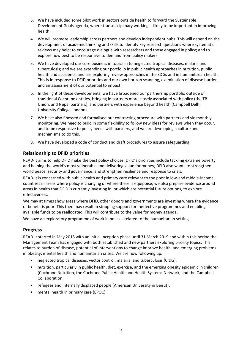- 3. We have included some pilot work in sectors outside health to forward the Sustainable Development Goals agenda, where transdisciplinary working is likely to be important in improving health.
- 4. We will promote leadership across partners and develop independent hubs. This will depend on the development of academic thinking and skills to identify key research questions where systematic reviews may help; to encourage dialogue with researchers and those engaged in policy; and to explore how best to be responsive to demand from policy makers.
- 5. We have developed our core business in topics in to neglected tropical diseases, malaria and tuberculosis; and we are extending our portfolio in public health approaches in nutrition, public health and accidents, and are exploring review approaches in the SDGs and in humanitarian health. This is in response to DFID priorities and our own horizon scanning, examination of disease burden, and an assessment of our potential to impact.
- 6. In the light of these developments, we have broadened our partnership portfolio outside of traditional Cochrane entities, bringing in partners more closely associated with policy (the TB Union, and Nepal partners), and partners with experience beyond health (Campbell Delhi, University College London).
- 7. We have also finessed and formalised our contracting procedure with partners and six-monthly monitoring. We need to build in some flexibility to follow new ideas for reviews when they occur, and to be responsive to policy needs with partners, and we are developing a culture and mechanisms to do this.
- 8. We have developed a code of conduct and draft procedures to assure safeguarding.

## **Relationship to DFID priorities**

READ-It aims to help DFID make the best policy choices. DFID's priorities include tackling extreme poverty and helping the world's most vulnerable and delivering value for money; DFID also wants to strengthen world peace, security and governance, and strengthen resilience and response to crisis.

READ-It is concerned with public health and primary care relevant to the poor in low-and middle-income countries in areas where policy is changing or where there is equipoise; we also prepare evidence around areas in health that DFID is currently investing in, or which are potential future options, to explore effectiveness.

We may at times show areas where DFID, other donors and governments are investing where the evidence of benefit is poor. This then may result in stopping support for ineffective programmes and enabling available funds to be reallocated. This will contribute to the value for money agenda.

We have an exploratory programme of work in policies related to the humanitarian setting.

#### **Progress**

READ-It started in May 2018 with an initial Inception phase until 31 March 2019 and within this period the Management Team has engaged with both established and new partners exploring priority topics. This relates to burden of disease, potential of interventions to change improve health, and emerging problems in obesity, mental health and humanitarian crises. We are now following up:

- neglected tropical diseases, vector control, malaria, and tuberculosis (CIDG);
- nutrition, particularly in public health, diet, exercise, and the emerging obesity epidemic in children (Cochrane Nutrition, the Cochrane Public Health and Health Systems Network, and the Campbell Collaboration;
- refugees and internally displaced people (American University in Beirut);
- mental health in primary care (EPOC).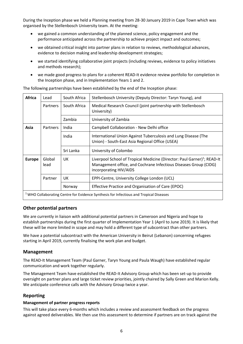During the Inception phase we held a Planning meeting from 28-30 January 2019 in Cape Town which was organised by the Stellenbosch University team. At the meeting:

- we gained a common understanding of the planned science, policy engagement and the performance anticipated across the partnership to achieve project impact and outcomes;
- we obtained critical insight into partner plans in relation to reviews, methodological advances, evidence to decision making and leadership development strategies;
- we started identifying collaborative joint projects (including reviews, evidence to policy initiatives and methods research);
- we made good progress to plans for a coherent READ-It evidence review portfolio for completion in the Inception phase, and in Implementation Years 1 and 2.

| <b>Africa</b>                                                                            | Lead           | South Africa | Stellenbosch University (Deputy Director: Taryn Young), and                                                                                                                        |  |
|------------------------------------------------------------------------------------------|----------------|--------------|------------------------------------------------------------------------------------------------------------------------------------------------------------------------------------|--|
|                                                                                          | Partners       | South Africa | Medical Research Council (joint partnership with Stellenbosch<br>University)                                                                                                       |  |
|                                                                                          |                | Zambia       | University of Zambia                                                                                                                                                               |  |
| Asia                                                                                     | Partners       | India        | Campbell Collaboration - New Delhi office                                                                                                                                          |  |
|                                                                                          |                | India        | International Union Against Tuberculosis and Lung Disease (The<br>Union) - South-East Asia Regional Office (USEA)                                                                  |  |
|                                                                                          |                | Sri Lanka    | University of Colombo                                                                                                                                                              |  |
| <b>Europe</b>                                                                            | Global<br>lead | UK           | Liverpool School of Tropical Medicine (Director: Paul Garner) <sup>1</sup> ; READ-It<br>Management office, and Cochrane Infectious Diseases Group (CIDG)<br>incorporating HIV/AIDS |  |
|                                                                                          | Partner        | UK           | EPPI-Centre, University College London (UCL)                                                                                                                                       |  |
|                                                                                          |                | Norway       | Effective Practice and Organisation of Care (EPOC)                                                                                                                                 |  |
| $1$ WHO Collaborating Centre for Evidence Synthesis for Infectious and Tropical Diseases |                |              |                                                                                                                                                                                    |  |

The following partnerships have been established by the end of the Inception phase:

#### **Other potential partners**

We are currently in liaison with additional potential partners in Cameroon and Nigeria and hope to establish partnerships during the first quarter of Implementation Year 1 (April to June 2019). It is likely that these will be more limited in scope and may hold a different type of subcontract than other partners.

We have a potential subcontract with the American University in Beirut (Lebanon) concerning refugees starting in April 2019, currently finalising the work plan and budget.

#### **Management**

The READ-It Management Team (Paul Garner, Taryn Young and Paula Waugh) have established regular communication and work together regularly.

The Management Team have established the READ-It Advisory Group which has been set-up to provide oversight on partner plans and large ticket review priorities, jointly chaired by Sally Green and Marion Kelly. We anticipate conference calls with the Advisory Group twice a year.

#### **Reporting**

#### **Management of partner progress reports**

This will take place every 6-months which includes a review and assessment feedback on the progress against agreed deliverables. We then use this assessment to determine if partners are on track against the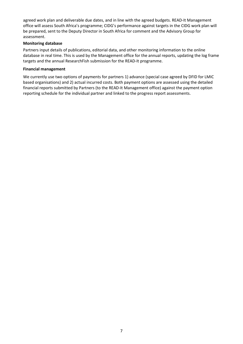agreed work plan and deliverable due dates, and in line with the agreed budgets. READ-It Management office will assess South Africa's programme; CIDG's performance against targets in the CIDG work plan will be prepared, sent to the Deputy Director in South Africa for comment and the Advisory Group for assessment.

#### **Monitoring database**

Partners input details of publications, editorial data, and other monitoring information to the online database in real time. This is used by the Management office for the annual reports, updating the log frame targets and the annual ResearchFish submission for the READ-It programme.

#### **Financial management**

We currently use two options of payments for partners 1) advance (special case agreed by DFID for LMIC based organisations) and 2) actual incurred costs. Both payment options are assessed using the detailed financial reports submitted by Partners (to the READ-It Management office) against the payment option reporting schedule for the individual partner and linked to the progress report assessments.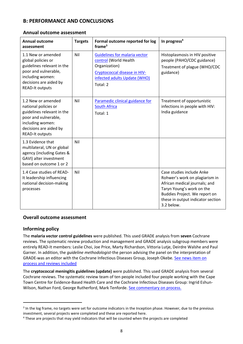# **B: PERFORMANCE AND CONCLUSIONS**

#### **Annual outcome assessment**

| <b>Annual outcome</b><br>assessment                                                                                                                                      | <b>Targets</b> | Formal outcome reported for log<br>frame <sup>3</sup>                                                                                               | In progress <sup>4</sup>                                                                                                                                                                                      |
|--------------------------------------------------------------------------------------------------------------------------------------------------------------------------|----------------|-----------------------------------------------------------------------------------------------------------------------------------------------------|---------------------------------------------------------------------------------------------------------------------------------------------------------------------------------------------------------------|
| 1.1 New or amended<br>global policies or<br>guidelines relevant in the<br>poor and vulnerable,<br>including women:<br>decisions are aided by<br><b>READ-It outputs</b>   | Nil            | Guidelines for malaria vector<br>control (World Health<br>Organization)<br>Cryptococcal disease in HIV-<br>infected adults Update (WHO)<br>Total: 2 | Histoplasmosis in HIV positive<br>people (PAHO/CDC guidance)<br>Treatment of plague (WHO/CDC<br>guidance)                                                                                                     |
| 1.2 New or amended<br>national policies or<br>guidelines relevant in the<br>poor and vulnerable,<br>including women:<br>decisions are aided by<br><b>READ-It outputs</b> | Nil            | Paramedic clinical guidance for<br><b>South Africa</b><br>Total: 1                                                                                  | Treatment of opportunistic<br>infections in people with HIV:<br>India guidance                                                                                                                                |
| 1.3 Evidence that<br>multilateral, UN or global<br>agency (including Gates &<br>GAVI) alter investment<br>based on outcome 1 or 2                                        | Nil            |                                                                                                                                                     |                                                                                                                                                                                                               |
| 1.4 Case studies of READ-<br>It leadership influencing<br>national decision-making<br>processes                                                                          | Nil            |                                                                                                                                                     | Case studies include Anke<br>Rohwer's work on plagiarism in<br>African medical journals; and<br>Taryn Young's work on the<br>Buddies Project. We report on<br>these in output indicator section<br>3.2 below. |

#### **Overall outcome assessment**

#### **Informing policy**

**.** 

The **malaria vector control guidelines** were published. This used GRADE analysis from **seven** Cochrane reviews. The systematic review production and management and GRADE analysis subgroup members were entirely READ-It members: Leslie Choi, Joe Price, Marty Richardson, Vittoria Lutje, Deirdre Walshe and Paul Garner. In addition, the *guideline methodologist*-the person advising the panel on the interpretation of GRADE-was an editor with the Cochrane Infectious Diseases Group, Joseph Okebe. [See news item on](https://www.lstmed.ac.uk/news-events/news/cochrane-infectious-disease-group-works-with-who-on-latest-guidelines-for-malaria)  [process and reviews included](https://www.lstmed.ac.uk/news-events/news/cochrane-infectious-disease-group-works-with-who-on-latest-guidelines-for-malaria)

The **cryptococcal meningitis guidelines (update)** were published. This used GRADE analysis from several Cochrane reviews. The systematic review team of ten people included four people working with the Cape Town Centre for Evidence-Based Health Care and the Cochrane Infectious Diseases Group: Ingrid Eshun-Wilson, Nathan Ford, George Rutherford, Mark Tenforde. [See commentary on process.](https://www.cochranelibrary.com/cdsr/doi/10.1002/14651858.ED000130/full)

<sup>&</sup>lt;sup>3</sup> In the log frame, no targets were set for outcome indicators in the Inception phase. However, due to the previous investment, several projects were completed and these are reported here.

<sup>4</sup> These are projects that may yield indicators that will be counted when the projects are completed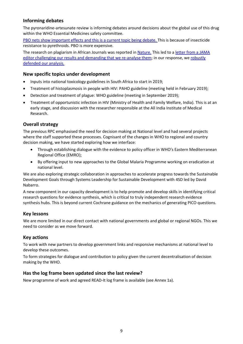## **Informing debates**

The pyronaridine-artesunate review is informing debates around decisions about the global use of this drug within the WHO Essential Medicines safety committee.

[PBO nets show important effects and this is a current topic being debate.](https://www.cochranelibrary.com/cdsr/doi/10.1002/14651858.CD012776.pub2/full) This is because of insecticide resistance to pyrethroids. PBO is more expensive.

The research on plagiarism in African Journals was reported i[n Nature.](https://www.nature.com/articles/d41586-018-07462-2) This led to [a letter from a JAMA](https://bmjopen.bmj.com/content/8/11/e024777.responses#biased-study-and-misrepresentation-of-actual-rates-of-plagiarism-in-african-medical-journals)  [editor challenging our results and demanding that we re-analyse them;](https://bmjopen.bmj.com/content/8/11/e024777.responses#biased-study-and-misrepresentation-of-actual-rates-of-plagiarism-in-african-medical-journals) in our response, we [robustly](https://bmjopen.bmj.com/content/8/11/e024777.responses#authors%E2%80%99-response-to-flanagin-and-ofori-adjei-)  [defended our analysis.](https://bmjopen.bmj.com/content/8/11/e024777.responses#authors%E2%80%99-response-to-flanagin-and-ofori-adjei-)

#### **New specific topics under development**

- Inputs into national toxicology guidelines in South Africa to start in 2019;
- Treatment of histoplasmosis in people with HIV: PAHO guideline (meeting held in February 2019);
- Detection and treatment of plague: WHO guideline (meeting in September 2019);
- Treatment of opportunistic infection in HIV (Ministry of Health and Family Welfare, India). This is at an early stage, and discussion with the researcher responsible at the All India Institute of Medical Research.

## **Overall strategy**

The previous RPC emphasised the need for decision making at National level and had several projects where the staff supported these processes. Cognisant of the changes in WHO to regional and country decision making, we have started exploring how we interface:

- Through establishing dialogue with the evidence to policy officer in WHO's Eastern Mediterranean Regional Office (EMRO);
- By offering input to new approaches to the Global Malaria Programme working on eradication at national level.

We are also exploring strategic collaboration in approaches to accelerate progress towards the Sustainable Development Goals through Systems Leadership for Sustainable Development with 4SD led by David Nabarro.

A new component in our capacity development is to help promote and develop skills in identifying critical research questions for evidence synthesis, which is critical to truly independent research evidence synthesis hubs. This is beyond current Cochrane guidance on the mechanics of generating PICO questions.

## **Key lessons**

We are more limited in our direct contact with national governments and global or regional NGOs. This we need to consider as we move forward.

#### **Key actions**

To work with new partners to develop government links and responsive mechanisms at national level to develop these outcomes.

To form strategies for dialogue and contribution to policy given the current decentralisation of decision making by the WHO.

#### **Has the log frame been updated since the last review?**

New programme of work and agreed READ-It log frame is available (see Annex 1a).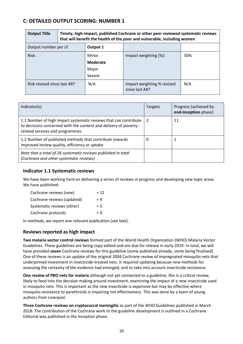# **C: DETAILED OUTPUT SCORING: NUMBER 1**

| <b>Output Title</b>         | Timely, high-impact, published Cochrane or other peer reviewed systematic reviews<br>that will benefit the health of the poor and vulnerable, including women |                                             |                                              |     |
|-----------------------------|---------------------------------------------------------------------------------------------------------------------------------------------------------------|---------------------------------------------|----------------------------------------------|-----|
| Output number per LF        |                                                                                                                                                               | Output 1                                    |                                              |     |
| Risk:                       |                                                                                                                                                               | Minor<br><b>Moderate</b><br>Major<br>Severe | Impact weighting $(\%)$ :                    | 50% |
| Risk revised since last AR? |                                                                                                                                                               | N/A                                         | Impact weighting % revised<br>since last AR? | N/A |

| Indicator(s)                                                                                                                                                            | <b>Targets</b> | Progress (achieved by<br>end-Inception phase) |
|-------------------------------------------------------------------------------------------------------------------------------------------------------------------------|----------------|-----------------------------------------------|
| 1.1 Number of high impact systematic reviews that can contribute<br>to decisions concerned with the content and delivery of poverty-<br>related services and programmes | 2              | 11                                            |
| 1.2 Number of published methods that contribute towards<br>improved review quality, efficiency or uptake                                                                | O              |                                               |
| Note that a total of 26 systematic reviews published in total<br>(Cochrane and other systematic reviews)                                                                |                |                                               |

#### **Indicator 1.1 Systematic reviews**

We have been working hard on delivering a series of reviews in progress and developing new topic areas. We have published:

| Cochrane reviews (new)     | $= 12$ |
|----------------------------|--------|
| Cochrane reviews (updated) | $= 9$  |
| Systematic reviews (other) | $= 5$  |
| Cochrane protocols         | $= 9$  |
|                            |        |

In methods, we report one relevant publication (see text).

#### **Reviews reported as high impact**

**Two malaria vector control reviews** formed part of the World Health Organization (WHO) Malaria Vector Guidelines. These guidelines are being copy-edited and are due for release in early 2019. In total, we will have provided **seven** Cochrane reviews for this guideline (some published already, some being finalised). One of these reviews is an update of the original 2004 Cochrane review of impregnated mosquito nets that underpinned investment in insecticide-treated nets. It required updating because new methods for assessing the certainty of the evidence had emerged, and to take into account insecticide resistance.

**One review of PBO nets for malaria** although not yet connected to a guideline, this is a critical review, likely to feed into the decision making around investment, examining the impact of a new insecticide used in mosquito nets. This is important as the new insecticide is expensive but may be effective where mosquito resistance to pyrethroids is impairing net effectiveness. This was done by a team of young authors from Liverpool.

**Three Cochrane reviews on cryptococcal meningitis** as part of the WHO Guidelines published in March 2018. The contribution of the Cochrane work to the guideline development is outlined in a Cochrane Editorial was published in the Inception phase.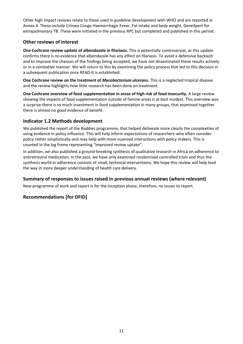Other high impact reviews relate to those used in guideline development with WHO and are reported in Annex 4. These include Crimea Congo Haemorrhagic Fever, Fat intake and body weight, GeneXpert for extrapulmonary TB. These were initiated in the previous RPC but completed and published in this period.

## **Other reviews of interest**

**One Cochrane review update of albendazole in filariasis.** This is potentially controversial, as this update confirms there is no evidence that albendazole has any effect on filariasis. To avoid a defensive backlash and to improve the chances of the findings being accepted, we have not disseminated these results actively or in a combative manner. We will return to this by examining the policy process that led to this decision in a subsequent publication once READ-It is established.

**One Cochrane review on the treatment of** *Mycobacterium ulcerans***.** This is a neglected tropical disease and the review highlights how little research has been done on treatment.

**One Cochrane overview of food supplementation in areas of high risk of food insecurity.** A large review showing the impacts of food supplementation outside of famine areas is at best modest. This overview was a surprise-there is so much investment in food supplementation in many groups, that examined together there is almost no good evidence of benefit.

#### **Indicator 1.2 Methods development**

We published the report of the Buddies programme, that helped delineate more clearly the complexities of using evidence in policy influence. This will help inform expectations of researchers-who often consider policy rather simplistically-and may help with more nuanced interactions with policy makers. This is counted in the log frame representing "improved review uptake".

In addition, we also published a ground-breaking synthesis of qualitative research in Africa on adherence to antiretroviral medication. In the past, we have only examined randomised controlled trials and thus the synthesis world in adherence consists of small, technical interventions. We hope this review will help lead the way in more deeper understanding of health care delivery.

## **Summary of responses to issues raised in previous annual reviews (where relevant)**

New programme of work and report is for the Inception phase, therefore, no issues to report.

## **Recommendations [for DFID]**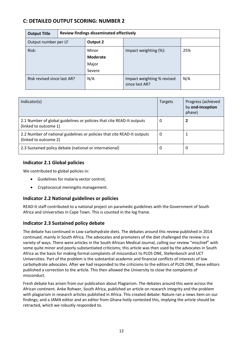# **C: DETAILED OUTPUT SCORING: NUMBER 2**

| <b>Output Title</b>         | Review findings disseminated effectively |                                   |                                              |     |
|-----------------------------|------------------------------------------|-----------------------------------|----------------------------------------------|-----|
| Output number per LF        |                                          | Output 2                          |                                              |     |
| Risk:                       |                                          | Minor<br><b>Moderate</b><br>Major | Impact weighting (%):                        | 25% |
|                             |                                          | Severe                            |                                              |     |
| Risk revised since last AR? |                                          | N/A                               | Impact weighting % revised<br>since last AR? | N/A |

| Indicator(s)                                                                                     | Targets | Progress (achieved<br>by end-Inception<br>phase) |
|--------------------------------------------------------------------------------------------------|---------|--------------------------------------------------|
| 2.1 Number of global guidelines or policies that cite READ-It outputs<br>(linked to outcome 1)   | 0       |                                                  |
| 2.2 Number of national guidelines or policies that cite READ-It outputs<br>(linked to outcome 2) | 0       |                                                  |
| 2.3 Sustained policy debate (national or international)                                          | 0       | 0                                                |

## **Indicator 2.1 Global policies**

We contributed to global policies in:

- Guidelines for malaria vector control,
- Cryptococcal meningitis management.

#### **Indicator 2.2 National guidelines or policies**

READ-It staff contributed to a national project on paramedic guidelines with the Government of South Africa and Universities in Cape Town. This is counted in the log frame.

#### **Indicator 2.3 Sustained policy debate**

The debate has continued in Low-carbohydrate diets. The debates around this review published in 2014 continued, mainly in South Africa. The advocates and promoters of the diet challenged the review in a variety of ways. There were articles in the South African Medical Journal, calling our review "mischief" with some quite minor and poorly substantiated criticisms; this article was then used by the advocates in South Africa as the basis for making formal complaints of misconduct to PLOS ONE, Stellenbosch and UCT Universities. Part of the problem is the substantial academic and financial conflicts of interests of low carbohydrate advocates. After we had responded to the criticisms to the editors of PLOS ONE, these editors published a correction to the article. This then allowed the University to close the complaints of misconduct.

Fresh debate has arisen from our publication about Plagiarism. The debates around this were across the African continent. Anke Rohwer, South Africa, published an article on research integrity and the problem with plagiarism in research articles published in Africa. This created debate: Nature ran a news item on our findings; and a JAMA editor and an editor from Ghana hotly contested this, implying the article should be retracted, which we robustly responded to.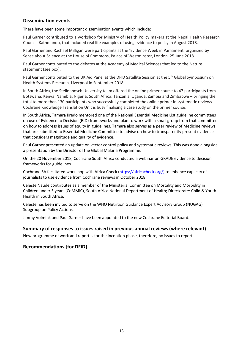#### **Dissemination events**

There have been some important dissemination events which include:

Paul Garner contributed to a workshop for Ministry of Health Policy makers at the Nepal Health Research Council, Kathmandu, that included real life examples of using evidence to policy in August 2018.

Paul Garner and Rachael Milligan were participants at the 'Evidence Week in Parliament' organized by Sense about Science at the House of Commons, Palace of Westminster, London, 25 June 2018.

Paul Garner contributed to the debates at the Academy of Medical Sciences that led to the Nature statement (see box).

Paul Garner contributed to the UK Aid Panel at the DFID Satellite Session at the 5<sup>th</sup> Global Symposium on Health Systems Research, Liverpool in September 2018.

In South Africa, the Stellenbosch University team offered the online primer course to 47 participants from Botswana, Kenya, Namibia, Nigeria, South Africa, Tanzania, Uganda, Zambia and Zimbabwe – bringing the total to more than 130 participants who successfully completed the online primer in systematic reviews. Cochrane Knowledge Translation Unit is busy finalising a case study on the primer course.

In South Africa, Tamara Kredo mentored one of the National Essential Medicine List guideline committees on use of Evidence to Decision (EtD) frameworks and plan to work with a small group from that committee on how to address issues of equity in guidelines. Tamara also serves as a peer review of Medicine reviews that are submitted to Essential Medicine Committee to advise on how to transparently present evidence that considers magnitude and quality of evidence.

Paul Garner presented an update on vector control policy and systematic reviews. This was done alongside a presentation by the Director of the Global Malaria Programme.

On the 20 November 2018, Cochrane South Africa conducted a webinar on GRADE evidence to decision frameworks for guidelines.

Cochrane SA facilitated workshop with Africa Check [\(https://africacheck.org/\)](https://africacheck.org/) to enhance capacity of journalists to use evidence from Cochrane reviews in October 2018

Celeste Naude contributes as a member of the Ministerial Committee on Mortality and Morbidity in Children under 5 years (CoMMiC), South Africa National Department of Health; Directorate: Child & Youth Health in South Africa.

Celeste has been invited to serve on the WHO Nutrition Guidance Expert Advisory Group (NUGAG) Subgroup on Policy Actions.

Jimmy Volmink and Paul Garner have been appointed to the new Cochrane Editorial Board.

#### **Summary of responses to issues raised in previous annual reviews (where relevant)**

New programme of work and report is for the Inception phase, therefore, no issues to report.

#### **Recommendations [for DFID]**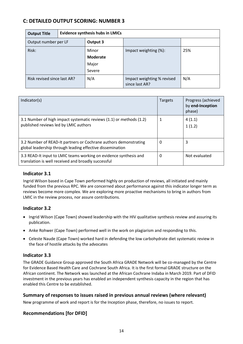# **C: DETAILED OUTPUT SCORING: NUMBER 3**

| <b>Output Title</b>         | <b>Evidence synthesis hubs in LMICs</b> |                                             |                                              |     |
|-----------------------------|-----------------------------------------|---------------------------------------------|----------------------------------------------|-----|
| Output number per LF        |                                         | Output 3                                    |                                              |     |
| Risk:                       |                                         | Minor<br><b>Moderate</b><br>Major<br>Severe | Impact weighting (%):                        | 25% |
| Risk revised since last AR? |                                         | N/A                                         | Impact weighting % revised<br>since last AR? | N/A |

| Indicator(s)                                                                                                                  | Targets | Progress (achieved<br>by end-Inception<br>phase) |
|-------------------------------------------------------------------------------------------------------------------------------|---------|--------------------------------------------------|
| 3.1 Number of high impact systematic reviews (1.1) or methods (1.2)<br>published reviews led by LMIC authors                  |         | 4(1.1)<br>1(1.2)                                 |
| 3.2 Number of READ-It partners or Cochrane authors demonstrating<br>global leadership through leading effective dissemination | 0       | 3                                                |
| 3.3 READ-It input to LMIC teams working on evidence synthesis and<br>translation is well received and broadly successful      | 0       | Not evaluated                                    |

## **Indicator 3.1**

Ingrid Wilson based in Cape Town performed highly on production of reviews, all initiated and mainly funded from the previous RPC. We are concerned about performance against this indicator longer term as reviews become more complex. We are exploring more proactive mechanisms to bring in authors from LMIC in the review process, nor assure contributions.

## **Indicator 3.2**

- Ingrid Wilson (Cape Town) showed leadership with the HIV qualitative synthesis review and assuring its publication.
- Anke Rohwer (Cape Town) performed well in the work on plagiarism and responding to this.
- Celeste Naude (Cape Town) worked hard in defending the low carbohydrate diet systematic review in the face of hostile attacks by the advocates

#### **Indicator 3.3**

The GRADE Guidance Group approved the South Africa GRADE Network will be co-managed by the Centre for Evidence Based Health Care and Cochrane South Africa. It is the first formal GRADE structure on the African continent. The Network was launched at the African Cochrane Indaba in March 2019. Part of DFID investment in the previous years has enabled an independent synthesis capacity in the region that has enabled this Centre to be established.

#### **Summary of responses to issues raised in previous annual reviews (where relevant)**

New programme of work and report is for the Inception phase, therefore, no issues to report.

## **Recommendations [for DFID]**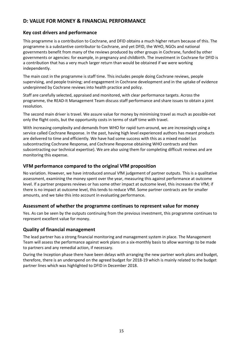# **D: VALUE FOR MONEY & FINANCIAL PERFORMANCE**

#### **Key cost drivers and performance**

This programme is a contribution to Cochrane, and DFID obtains a much higher return because of this. The programme is a substantive contributor to Cochrane, and yet DFID, the WHO, NGOs and national governments benefit from many of the reviews produced by other groups in Cochrane, funded by other governments or agencies: for example, in pregnancy and childbirth. The investment in Cochrane for DFID is a contribution that has a very much larger return than would be obtained if we were working independently.

The main cost in the programme is staff time. This includes people doing Cochrane reviews, people supervising, and people training; and engagement in Cochrane development and in the uptake of evidence underpinned by Cochrane reviews into health practice and policy.

Staff are carefully selected, appraised and monitored, with clear performance targets. Across the programme, the READ-It Management Team discuss staff performance and share issues to obtain a joint resolution.

The second main driver is travel. We assure value for money by minimising travel as much as possible-not only the flight costs, but the opportunity costs in terms of staff time with travel.

With increasing complexity and demands from WHO for rapid turn-around, we are increasingly using a service called Cochrane Response. In the past, having high level experienced authors has meant products are delivered to time and efficiently. We have had some success with this as a mixed model (us subcontracting Cochrane Response, and Cochrane Response obtaining WHO contracts and then subcontracting our technical expertise). We are also using them for completing difficult reviews and are monitoring this expense.

#### **VFM performance compared to the original VfM proposition**

No variation. However, we have introduced annual VfM judgement of partner outputs. This is a qualitative assessment, examining the money spent over the year, measuring this against performance at outcome level. If a partner prepares reviews or has some other impact at outcome level, this increases the VfM; if there is no impact at outcome level, this tends to reduce VfM. Some partner contracts are for smaller amounts, and we take this into account in evaluating performance.

#### **Assessment of whether the programme continues to represent value for money**

Yes. As can be seen by the outputs continuing from the previous investment, this programme continues to represent excellent value for money.

#### **Quality of financial management**

The lead partner has a strong financial monitoring and management system in place. The Management Team will assess the performance against work plans on a six-monthly basis to allow warnings to be made to partners and any remedial action, if necessary.

During the Inception phase there have been delays with arranging the new partner work plans and budget, therefore, there is an underspend on the agreed budget for 2018-19 which is mainly related to the budget partner lines which was highlighted to DFID in December 2018.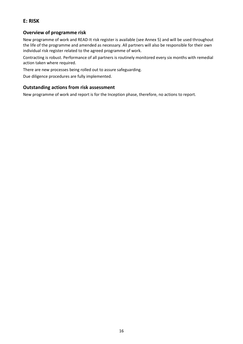# **E: RISK**

#### **Overview of programme risk**

New programme of work and READ-It risk register is available (see Annex 5) and will be used throughout the life of the programme and amended as necessary. All partners will also be responsible for their own individual risk register related to the agreed programme of work.

Contracting is robust. Performance of all partners is routinely monitored every six months with remedial action taken where required.

There are new processes being rolled out to assure safeguarding.

Due diligence procedures are fully implemented.

#### **Outstanding actions from risk assessment**

New programme of work and report is for the Inception phase, therefore, no actions to report.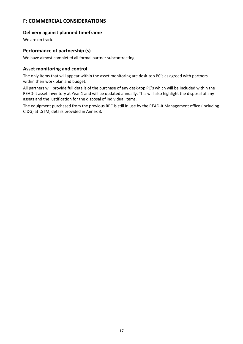# **F: COMMERCIAL CONSIDERATIONS**

#### **Delivery against planned timeframe**

We are on track.

#### **Performance of partnership (s)**

We have almost completed all formal partner subcontracting.

#### **Asset monitoring and control**

The only items that will appear within the asset monitoring are desk-top PC's as agreed with partners within their work plan and budget.

All partners will provide full details of the purchase of any desk-top PC's which will be included within the READ-It asset inventory at Year 1 and will be updated annually. This will also highlight the disposal of any assets and the justification for the disposal of individual items.

The equipment purchased from the previous RPC is still in use by the READ-It Management office (including CIDG) at LSTM, details provided in Annex 3.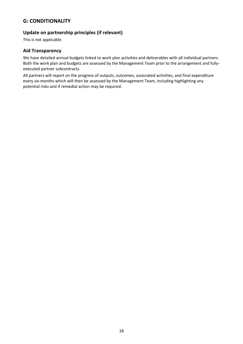# **G: CONDITIONALITY**

## **Update on partnership principles (if relevant)**

This is not applicable.

#### **Aid Transparency**

We have detailed annual budgets linked to work plan activities and deliverables with all individual partners. Both the work plan and budgets are assessed by the Management Team prior to the arrangement and fullyexecuted partner subcontracts.

All partners will report on the progress of outputs, outcomes, associated activities, and final expenditure every six-months which will then be assessed by the Management Team, including highlighting any potential risks and if remedial action may be required.